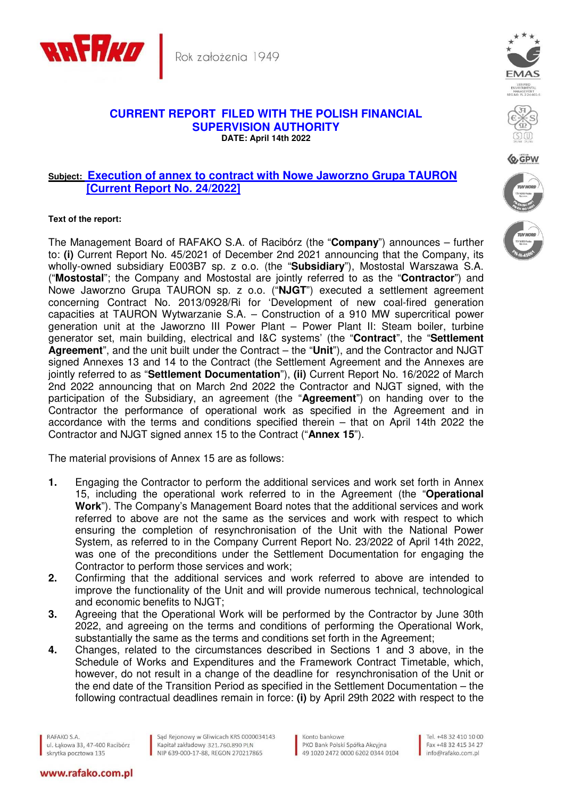

Rok założenia 1949

## **CURRENT REPORT FILED WITH THE POLISH FINANCIAL SUPERVISION AUTHORITY DATE: April 14th 2022**

## **Subject: Execution of annex to contract with Nowe Jaworzno Grupa TAURON [Current Report No. 24/2022]**

## **Text of the report:**

The Management Board of RAFAKO S.A. of Racibórz (the "**Company**") announces – further to: **(i)** Current Report No. 45/2021 of December 2nd 2021 announcing that the Company, its wholly-owned subsidiary E003B7 sp. z o.o. (the "**Subsidiary**"), Mostostal Warszawa S.A. ("**Mostostal**"; the Company and Mostostal are jointly referred to as the "**Contractor**") and Nowe Jaworzno Grupa TAURON sp. z o.o. ("**NJGT**") executed a settlement agreement concerning Contract No. 2013/0928/Ri for 'Development of new coal-fired generation capacities at TAURON Wytwarzanie S.A. – Construction of a 910 MW supercritical power generation unit at the Jaworzno III Power Plant – Power Plant II: Steam boiler, turbine generator set, main building, electrical and I&C systems' (the "**Contract**", the "**Settlement Agreement**", and the unit built under the Contract – the "**Unit**"), and the Contractor and NJGT signed Annexes 13 and 14 to the Contract (the Settlement Agreement and the Annexes are jointly referred to as "**Settlement Documentation**"), **(ii)** Current Report No. 16/2022 of March 2nd 2022 announcing that on March 2nd 2022 the Contractor and NJGT signed, with the participation of the Subsidiary, an agreement (the "**Agreement**") on handing over to the Contractor the performance of operational work as specified in the Agreement and in accordance with the terms and conditions specified therein – that on April 14th 2022 the Contractor and NJGT signed annex 15 to the Contract ("**Annex 15**").

The material provisions of Annex 15 are as follows:

- **1.** Engaging the Contractor to perform the additional services and work set forth in Annex 15, including the operational work referred to in the Agreement (the "**Operational Work**"). The Company's Management Board notes that the additional services and work referred to above are not the same as the services and work with respect to which ensuring the completion of resynchronisation of the Unit with the National Power System, as referred to in the Company Current Report No. 23/2022 of April 14th 2022, was one of the preconditions under the Settlement Documentation for engaging the Contractor to perform those services and work;
- **2.** Confirming that the additional services and work referred to above are intended to improve the functionality of the Unit and will provide numerous technical, technological and economic benefits to NJGT;
- **3.** Agreeing that the Operational Work will be performed by the Contractor by June 30th 2022, and agreeing on the terms and conditions of performing the Operational Work, substantially the same as the terms and conditions set forth in the Agreement;
- **4.** Changes, related to the circumstances described in Sections 1 and 3 above, in the Schedule of Works and Expenditures and the Framework Contract Timetable, which, however, do not result in a change of the deadline for resynchronisation of the Unit or the end date of the Transition Period as specified in the Settlement Documentation – the following contractual deadlines remain in force: **(i)** by April 29th 2022 with respect to the

RAFAKO S.A. ul. Łąkowa 33, 47-400 Racibórz skrytka pocztowa 135

www.rafako.com.pl

Sąd Rejonowy w Gliwicach KRS 0000034143 Kapitał zakładowy 321.760.890 PLN NIP 639-000-17-88, REGON 270217865

Konto bankowe PKO Bank Polski Spółka Akcyjna 49 1020 2472 0000 6202 0344 0104





**D**GPW